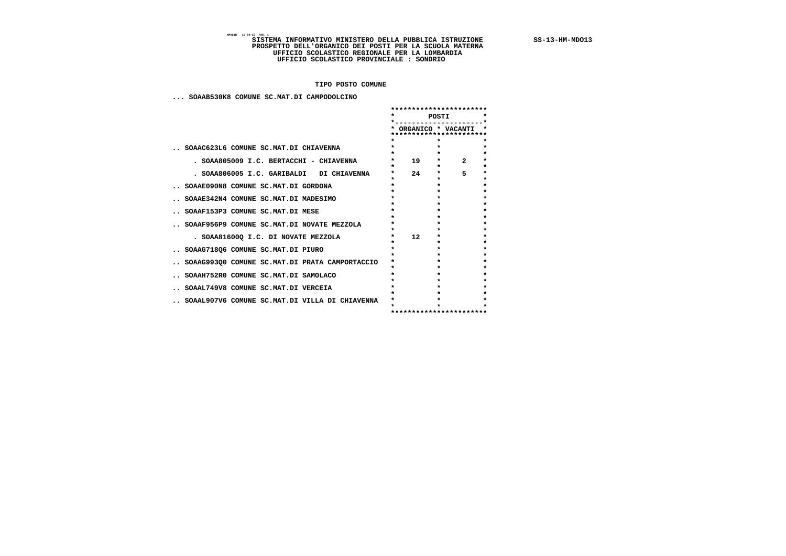# BASE IS TERMA INFORMATIVO MINISTERO DELLA PUBBLICA ISTRUZIONE SS-13-HM-MDO13<br>PROSPETTO DELL'ORGANICO DEI POSTI PER LA SCUOLA MATERNA<br>UFFICIO SCOLASTICO REGIONALE PER LA LOMBARDIA<br>UFFICIO SCOLASTICO PROVINCIALE : SONDRIO

 **TIPO POSTO COMUNE**

 **... SOAAB530K8 COMUNE SC.MAT.DI CAMPODOLCINO**

|                                                | **********************<br>POSTI |    |                                         |                         |                    |
|------------------------------------------------|---------------------------------|----|-----------------------------------------|-------------------------|--------------------|
|                                                |                                 |    |                                         | * ORGANICO * VACANTI    |                    |
|                                                |                                 |    |                                         | *********************** |                    |
|                                                |                                 |    | $\star$                                 |                         |                    |
| SOAAC623L6 COMUNE SC.MAT.DI CHIAVENNA          | $\star$                         |    | $\star$                                 |                         | $\star$            |
|                                                |                                 |    | $\star$                                 |                         | $\star$            |
| . SOAA805009 I.C. BERTACCHI - CHIAVENNA        | $\star$<br>$\star$              | 19 | $\star$ . The set of $\star$<br>$\star$ | $\overline{2}$          | $\star$<br>$\star$ |
| . SOAA806005 I.C. GARIBALDI DI CHIAVENNA       | $\star$                         | 24 | $\star$ . The set of $\star$            | 5.                      | $\star$            |
|                                                | $\star$                         |    | $\star$                                 |                         | $\star$            |
| SOAAE090N8 COMUNE SC.MAT.DI GORDONA            |                                 |    | $\star$                                 |                         |                    |
|                                                | $\star$                         |    | $\star$                                 |                         | $\star$            |
| SOAAE342N4 COMUNE SC.MAT.DI MADESIMO           |                                 |    |                                         |                         | $\star$            |
|                                                |                                 |    |                                         |                         |                    |
| SOAAF153P3 COMUNE SC.MAT.DI MESE               | $\star$                         |    | $\star$                                 |                         | $\star$            |
|                                                | $\star$                         |    |                                         |                         | $\star$            |
| SOAAF956P9 COMUNE SC.MAT.DI NOVATE MEZZOLA     | $\star$                         |    | $\star$                                 |                         | $\star$            |
|                                                | $\star$                         |    | $\star$                                 |                         | $\star$            |
| . SOAA81600Q I.C. DI NOVATE MEZZOLA            | $\star$<br>$\star$              | 12 | $\star$<br>$\star$                      |                         | $\star$<br>$\star$ |
|                                                | $\star$                         |    | $\star$                                 |                         | $\star$            |
| SOAAG718Q6 COMUNE SC.MAT.DI PIURO              | $\star$                         |    | $\star$                                 |                         | $\star$            |
|                                                | $\star$                         |    | $\star$                                 |                         | $\star$            |
| SOAAG993Q0 COMUNE SC.MAT.DI PRATA CAMPORTACCIO | $\star$                         |    |                                         |                         | $\star$            |
| SOAAH752R0 COMUNE SC.MAT.DI SAMOLACO           | $\star$                         |    | $\star$                                 |                         |                    |
|                                                |                                 |    |                                         |                         |                    |
| SOAAL749V8 COMUNE SC.MAT.DI VERCEIA            | $\bullet$                       |    |                                         |                         |                    |
|                                                | $\star$                         |    | $\star$                                 |                         | $\star$            |
| SOAAL907V6 COMUNE SC.MAT.DI VILLA DI CHIAVENNA | $\star$                         |    |                                         |                         | $\star$            |
|                                                |                                 |    |                                         |                         |                    |
|                                                |                                 |    |                                         | *********************** |                    |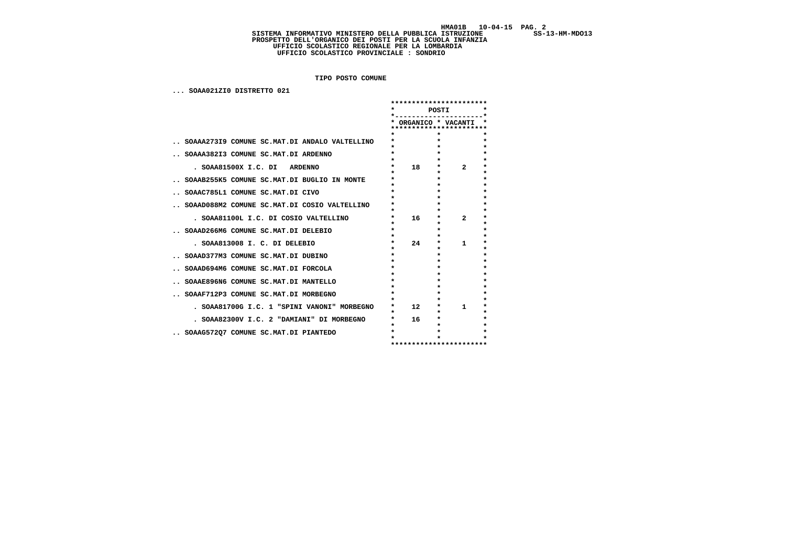$SS-13-HM-MDO13$ 

# HMAO1B 10-04-15 PAG. 2<br>SISTEMA INFORMATIVO MINISTERO DELLA PUBBLICA ISTRUZIONE SS-13-HM-MDO13<br>PROSPETTO DELL'ORGANICO DEI POSTI PER LA SCUOLA INFANZIA<br>UFFICIO SCOLASTICO REGIONALE PER LA LOMBARDIA<br>UFFICIO SCOLASTICO PROVIN

 **TIPO POSTO COMUNE**

 **... SOAA021ZI0 DISTRETTO 021**

|                                               | $\star$                      |    | POSTI              |                         |                    |
|-----------------------------------------------|------------------------------|----|--------------------|-------------------------|--------------------|
|                                               |                              |    | ORGANICO * VACANTI |                         |                    |
|                                               |                              |    |                    | ********************    |                    |
|                                               |                              |    | $\star$            |                         | $\star$            |
| SOAAA273I9 COMUNE SC.MAT.DI ANDALO VALTELLINO | $\star$<br>$\star$           |    | $\star$            |                         | $\star$<br>$\star$ |
| SOAAA382I3 COMUNE SC.MAT.DI ARDENNO           | $\star$                      |    | $\star$            |                         | $\star$            |
|                                               | $\star$                      |    | $\star$            |                         | $\star$            |
| . SOAA81500X I.C. DI ARDENNO                  | $\star$                      | 18 | $\star$            | $\mathbf{z}$            | $\star$            |
|                                               | $\star$<br>$\star$           |    | $\star$<br>$\star$ |                         | $\star$<br>$\star$ |
| SOAAB255K5 COMUNE SC.MAT.DI BUGLIO IN MONTE   | $\star$                      |    | $\star$            |                         | $\star$            |
| SOAAC785L1 COMUNE SC.MAT.DI CIVO              | $\bullet$                    |    | $\bullet$          |                         | $\star$            |
|                                               | $\star$                      |    | $\star$            |                         | $\star$            |
| SOAAD088M2 COMUNE SC.MAT.DI COSIO VALTELLINO  | $\star$<br>$\star$           |    | $\star$<br>$\star$ |                         | $\star$<br>$\star$ |
| . SOAA81100L I.C. DI COSIO VALTELLINO         | *                            | 16 | $\star$            | $\mathbf{2}$            | $\star$            |
|                                               | $\star$                      |    | $\star$            |                         | $\star$            |
| SOAAD266M6 COMUNE SC.MAT.DI DELEBIO           | $\star$<br>$\star$           |    | $\star$<br>$\star$ |                         | $\star$<br>$\star$ |
| . SOAA813008 I. C. DI DELEBIO                 | $\star$                      | 24 | $\star$            | 1                       | $\star$            |
|                                               | $\star$                      |    | $\star$            |                         | $\star$            |
| SOAAD377M3 COMUNE SC.MAT.DI DUBINO            | $\star$                      |    | $\star$            |                         | $\star$            |
| SOAAD694M6 COMUNE SC.MAT.DI FORCOLA           | $\star$<br>$\star$           |    | $\star$<br>$\star$ |                         | $\star$<br>$\star$ |
|                                               | $\star$                      |    | $\star$            |                         | $\star$            |
| SOAAE896N6 COMUNE SC.MAT.DI MANTELLO          | $\star$                      |    | $\star$            |                         | $\star$            |
|                                               | $\star$<br>$\star$           |    | $\star$<br>$\star$ |                         | $\star$<br>$\star$ |
| SOAAF712P3 COMUNE SC.MAT.DI MORBEGNO          | $\star$                      |    | $\star$            |                         | $\star$            |
| . SOAA81700G I.C. 1 "SPINI VANONI" MORBEGNO   | $\star$ . The set of $\star$ | 12 | $\star$            | 1.                      | $\star$            |
|                                               | $\star$                      |    | $\star$            |                         | $\star$            |
| . SOAA82300V I.C. 2 "DAMIANI" DI MORBEGNO     | $\star$<br>$\star$           | 16 | $\star$<br>$\star$ |                         | $\star$<br>$\star$ |
| SOAAG572Q7 COMUNE SC.MAT.DI PIANTEDO          | $\star$                      |    | $\star$            |                         | $\star$            |
|                                               |                              |    |                    |                         |                    |
|                                               |                              |    |                    | *********************** |                    |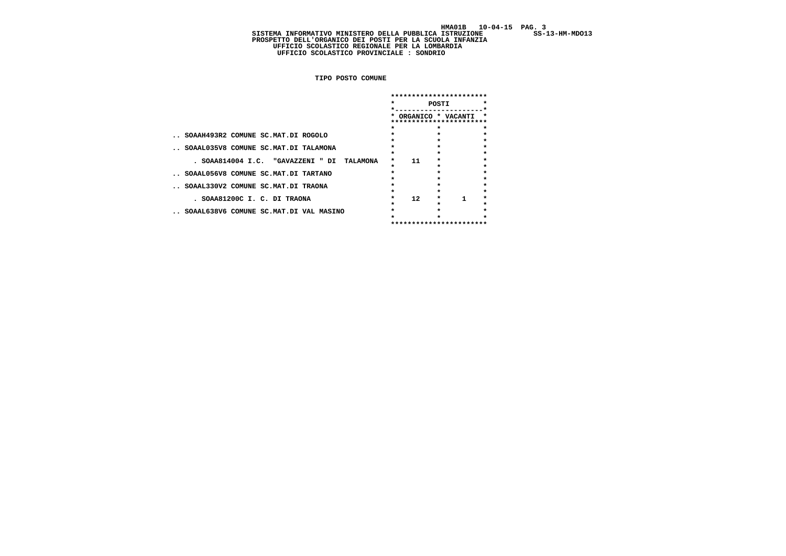$SS-13-HM-MDO13$ 

HMAO1B 10-04-15 PAG. 3<br>SISTEMA INFORMATIVO MINISTERO DELLA PUBBLICA ISTRUZIONE SS-13-HM-MDO13<br>PROSPETTO DELL'ORGANICO DEI POSTI PER LA SCUOLA INFANZIA<br>UFFICIO SCOLASTICO REGIONALE PER LA LOMBARDIA<br>UFFICIO SCOLASTICO PROVIN

 **TIPO POSTO COMUNE**

|                                                                    | ********************<br>POSTI<br>$\star$<br>*<br>ORGANICO * VACANTI |                         |                    | $\star$ |                               |
|--------------------------------------------------------------------|---------------------------------------------------------------------|-------------------------|--------------------|---------|-------------------------------|
|                                                                    |                                                                     |                         |                    |         |                               |
| SOAAH493R2 COMUNE SC.MAT.DI ROGOLO                                 | ÷                                                                   |                         | $\star$            |         | $\star$                       |
| SOAAL035V8 COMUNE SC.MAT.DI TALAMONA                               | $\star$                                                             |                         | $\star$            |         | $\star$<br>$\star$<br>$\star$ |
| . SOAA814004 I.C. "GAVAZZENI " DI<br>TALAMONA                      | $\star$<br>$\star$                                                  | 11                      | $\star$            |         | $\star$<br>$\star$            |
| SOAAL056V8 COMUNE SC.MAT.DI TARTANO                                |                                                                     |                         |                    |         | $\star$<br>$\star$<br>$\star$ |
| SOAAL330V2 COMUNE SC.MAT.DI TRAONA<br>. SOAA81200C I. C. DI TRAONA | ÷<br>$\star$                                                        | 12 <sup>7</sup>         | $\star$<br>$\star$ | 1       | $\star$<br>$\star$            |
| SOAAL638V6 COMUNE SC.MAT.DI VAL MASINO                             |                                                                     |                         |                    |         | $\star$                       |
|                                                                    |                                                                     | *********************** |                    |         |                               |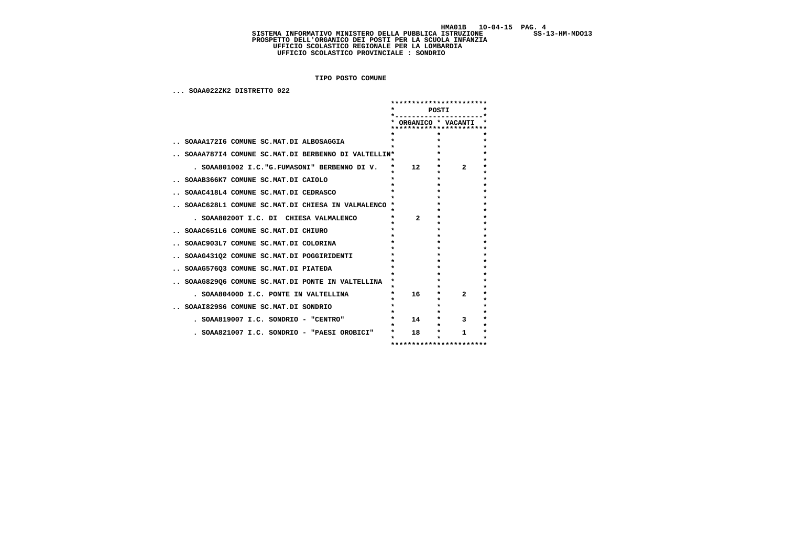SS-13-HM-MD013

# HMAO1B 10-04-15 PAG. 4<br>SISTEMA INFORMATIVO MINISTERO DELLA PUBBLICA ISTRUZIONE SS-13-HM-MDO13<br>PROSPETTO DELL'ORGANICO DEI POSTI PER LA SCUOLA INFANZIA<br>UFFICIO SCOLASTICO REGIONALE PER LA LOMBARDIA<br>UFFICIO SCOLASTICO PROVIN

 **TIPO POSTO COMUNE**

 **... SOAA022ZK2 DISTRETTO 022**

|                                                    |           | ***********************                      |         |              |         |
|----------------------------------------------------|-----------|----------------------------------------------|---------|--------------|---------|
|                                                    | $\star$   | POSTI                                        |         |              | $\star$ |
|                                                    |           | ORGANICO * VACANTI<br>********************** |         |              | *       |
|                                                    |           |                                              | $\star$ |              |         |
|                                                    |           |                                              | $\star$ |              | $\star$ |
| SOAAA172I6 COMUNE SC.MAT.DI ALBOSAGGIA             | $\ast$    |                                              |         |              | $\star$ |
|                                                    |           | $\star$                                      |         |              | $\star$ |
| SOAAA787I4 COMUNE SC.MAT.DI BERBENNO DI VALTELLIN* |           | $\star$                                      |         |              | $\star$ |
|                                                    | $\star$   |                                              | $\star$ |              | $\star$ |
| . SOAA801002 I.C. "G.FUMASONI" BERBENNO DI V.      | $\star$   | 12                                           | $\star$ | $\mathbf{2}$ | $\star$ |
|                                                    | $\star$   |                                              | $\star$ |              | $\star$ |
| SOAAB366K7 COMUNE SC.MAT.DI CAIOLO                 | $\star$   | $\star$                                      |         |              | $\star$ |
|                                                    | $\star$   | $\bullet$                                    |         |              | $\star$ |
| SOAAC418L4 COMUNE SC.MAT.DI CEDRASCO               | $\bullet$ | $\bullet$                                    |         |              | $\star$ |
|                                                    |           | $\bullet$                                    |         |              | $\star$ |
| SOAAC628L1 COMUNE SC.MAT.DI CHIESA IN VALMALENCO * |           | $\star$                                      |         |              | $\star$ |
|                                                    | *         | $\star$                                      |         |              | $\star$ |
| . SOAA80200T I.C. DI CHIESA VALMALENCO             | *         | $\star$<br>$\mathbf{2}$                      |         |              | $\star$ |
|                                                    | $\star$   | $\star$                                      |         |              | $\star$ |
| SOAAC651L6 COMUNE SC.MAT.DI CHIURO                 | $\star$   |                                              | $\star$ |              | $\star$ |
|                                                    | $\star$   |                                              | $\star$ |              | $\star$ |
|                                                    | $\star$   | $\bullet$                                    |         |              | $\star$ |
| SOAAC903L7 COMUNE SC.MAT.DI COLORINA               |           | $\bullet$                                    |         |              |         |
|                                                    | $\star$   |                                              |         |              | $\star$ |
| SOAAG431Q2 COMUNE SC.MAT.DI POGGIRIDENTI           | $\star$   |                                              | $\star$ |              | $\star$ |
|                                                    | $\star$   |                                              | $\star$ |              | $\star$ |
| SOAAG576Q3 COMUNE SC.MAT.DI PIATEDA                | $\star$   |                                              | $\star$ |              | $\star$ |
|                                                    | $\star$   |                                              | $\star$ |              | $\star$ |
| SOAAG829Q6 COMUNE SC.MAT.DI PONTE IN VALTELLINA    | $\star$   | $\star$                                      |         |              | $\star$ |
|                                                    | $\star$   | $\star$                                      |         |              | $\star$ |
| . SOAA80400D I.C. PONTE IN VALTELLINA              | $\star$   | 16                                           | $\star$ | $\mathbf{2}$ | $\star$ |
|                                                    | $\star$   | $\bullet$                                    |         |              | $\star$ |
| SOAAI829S6 COMUNE SC.MAT.DI SONDRIO                | $\star$   | $\star$                                      |         |              | $\star$ |
|                                                    | $\star$   |                                              | $\star$ |              | $\star$ |
| . SOAA819007 I.C. SONDRIO - "CENTRO"               | $\star$   | 14                                           | $\star$ | 3            | $\star$ |
|                                                    | $\star$   | $\star$                                      |         |              | $\star$ |
| . SOAA821007 I.C. SONDRIO - "PAESI OROBICI"        | $\star$   | 18                                           | $\star$ | 1            | $\star$ |
|                                                    | $\star$   |                                              | $\star$ |              | $\star$ |
|                                                    |           | **********************                       |         |              |         |
|                                                    |           |                                              |         |              |         |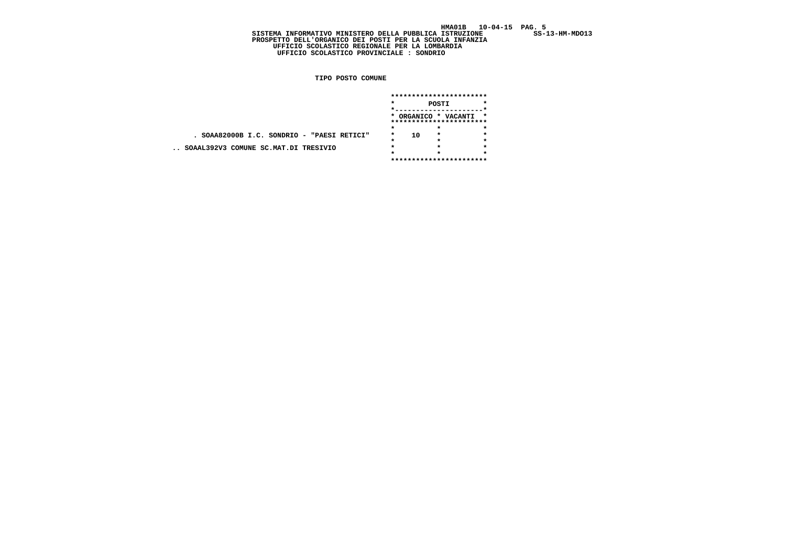$SS-13-HM-MDO13$ 

 **SISTEMA INFORMATIVO MINISTERO DELLA PUBBLICA ISTRUZIONE SS-13-HM-MDO13 PROSPETTO DELL'ORGANICO DEI POSTI PER LA SCUOLA INFANZIA UFFICIO SCOLASTICO REGIONALE PER LA LOMBARDIA UFFICIO SCOLASTICO PROVINCIALE : SONDRIO**

 **TIPO POSTO COMUNE**

|                                            | *********************** |                         |                                                 |         |  |  |  |
|--------------------------------------------|-------------------------|-------------------------|-------------------------------------------------|---------|--|--|--|
|                                            | $\star$<br>POSTI        |                         |                                                 |         |  |  |  |
|                                            |                         |                         |                                                 |         |  |  |  |
|                                            |                         |                         | * ORGANICO * VACANTI<br>*********************** | *       |  |  |  |
|                                            | $\star$                 |                         | *                                               |         |  |  |  |
| . SOAA82000B I.C. SONDRIO - "PAESI RETICI" | $\star$                 | 10                      | $\star$                                         | $\star$ |  |  |  |
|                                            |                         |                         | $\star$                                         | ÷       |  |  |  |
| SOAAL392V3 COMUNE SC.MAT.DI TRESIVIO       | $\star$                 |                         | $\star$                                         | ÷       |  |  |  |
|                                            |                         |                         |                                                 | ÷       |  |  |  |
|                                            |                         | *********************** |                                                 |         |  |  |  |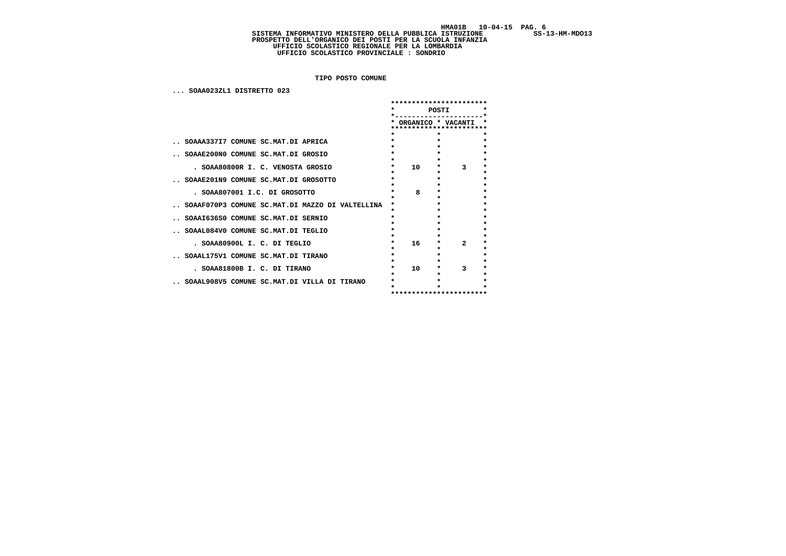# HMAO1B 10-04-15 PAG. 6<br>SISTEMA INFORMATIVO MINISTERO DELLA PUBBLICA ISTRUZIONE SS-13-HM-MDO13<br>PROSPETTO DELL'ORGANICO DEI POSTI PER LA SCUOLA INFANZIA<br>UFFICIO SCOLASTICO REGIONALE PER LA LOMBARDIA<br>UFFICIO SCOLASTICO PROVIN

 **TIPO POSTO COMUNE**

 **... SOAA023ZL1 DISTRETTO 023**

|                                                 | ***********************<br>$\star$ |                            |                                    |                    |
|-------------------------------------------------|------------------------------------|----------------------------|------------------------------------|--------------------|
|                                                 |                                    | POSTI                      | $\star$                            |                    |
|                                                 |                                    |                            | ORGANICO * VACANTI<br>************ |                    |
|                                                 | $\star$                            | $\star$                    |                                    | $\star$            |
| SOAAA337I7 COMUNE SC.MAT.DI APRICA              | $\star$                            | $\star$                    |                                    | $\star$            |
|                                                 |                                    | $\star$                    |                                    | $\star$            |
| SOAAE200NO COMUNE SC.MAT.DI GROSIO              | $\star$<br>$\star$                 | $\star$<br>$\star$         |                                    | $\star$<br>$\star$ |
| . SOAA80800R I. C. VENOSTA GROSIO               | $\star$                            | 10<br>$\star$              | 3                                  | $\star$            |
|                                                 | $\star$                            | $\star$                    |                                    | $\star$            |
| SOAAE201N9 COMUNE SC.MAT.DI GROSOTTO            |                                    | $\star$                    |                                    | $\star$            |
| . SOAA807001 I.C. DI GROSOTTO                   | $\star$                            | $\star$<br>8<br>$\star$    |                                    | $\star$<br>$\star$ |
|                                                 | $\bullet$                          | $\star$                    |                                    | $\star$            |
| SOAAF070P3 COMUNE SC.MAT.DI MAZZO DI VALTELLINA |                                    | $\bullet$                  |                                    | $\star$            |
|                                                 | $\star$                            | $\star$                    |                                    | $\star$            |
| SOAAI636S0 COMUNE SC.MAT.DI SERNIO              | $\star$                            | $\star$<br>$\bullet$       |                                    | $\star$<br>$\star$ |
| SOAAL084V0 COMUNE SC.MAT.DI TEGLIO              | $\star$                            | $\bullet$                  |                                    | $\star$            |
|                                                 |                                    | $\star$                    |                                    | $\star$            |
| . SOAA80900L I. C. DI TEGLIO                    | $\star$                            | 16 <sup>1</sup><br>$\star$ | $\mathbf{z}$                       | $\star$            |
| SOAAL175V1 COMUNE SC.MAT.DI TIRANO              | $\star$                            | $\star$<br>$\star$         |                                    | $\star$<br>$\star$ |
|                                                 |                                    | $\star$                    |                                    | $\star$            |
| . SOAA81800B I. C. DI TIRANO                    | $\star$                            | 10 <sup>1</sup><br>$\star$ | 3                                  | $\star$            |
|                                                 | ÷                                  | $\star$                    |                                    | $\star$            |
| SOAAL908V5 COMUNE SC.MAT.DI VILLA DI TIRANO     |                                    |                            |                                    |                    |
|                                                 |                                    |                            | ***********************            |                    |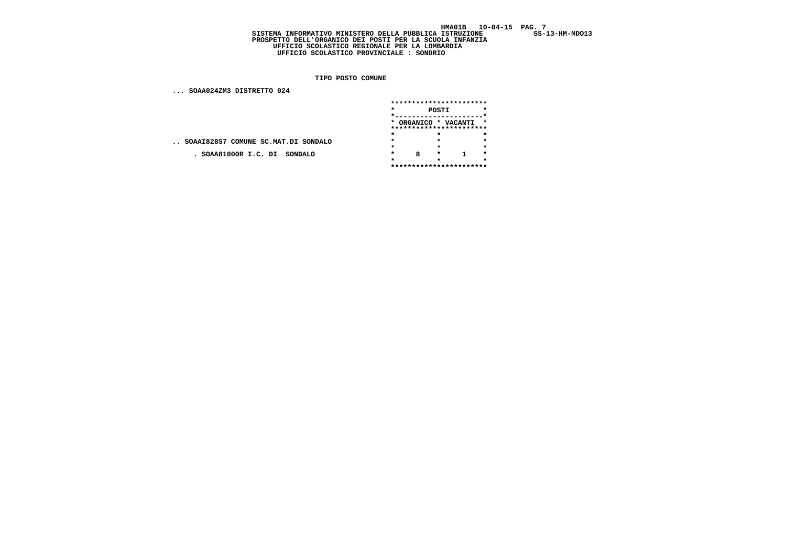$SS-13-HM-MDO13$ 

## **SISTEMA INFORMATIVO MINISTERO DELLA PUBBLICA ISTRUZIONE SS-13-HM-MDO13 PROSPETTO DELL'ORGANICO DEI POSTI PER LA SCUOLA INFANZIA UFFICIO SCOLASTICO REGIONALE PER LA LOMBARDIA UFFICIO SCOLASTICO PROVINCIALE : SONDRIO**

 **TIPO POSTO COMUNE**

 **... SOAA024ZM3 DISTRETTO 024**

|                                     | *********************** |                         |         |                      |         |  |  |  |  |  |
|-------------------------------------|-------------------------|-------------------------|---------|----------------------|---------|--|--|--|--|--|
|                                     | $\star$<br>POSTI        |                         |         |                      |         |  |  |  |  |  |
|                                     |                         |                         |         |                      |         |  |  |  |  |  |
|                                     |                         |                         |         | * ORGANICO * VACANTI | *       |  |  |  |  |  |
|                                     |                         | *********************** |         |                      |         |  |  |  |  |  |
|                                     | $\star$                 |                         | $\star$ |                      | $\star$ |  |  |  |  |  |
| SOAAI828S7 COMUNE SC.MAT.DI SONDALO | $\star$                 |                         | $\star$ |                      | $\star$ |  |  |  |  |  |
|                                     | ÷                       |                         | $\star$ |                      | $\star$ |  |  |  |  |  |
| . SOAA81000R I.C. DI SONDALO        | $\star$                 | 8                       | $\star$ |                      | $\star$ |  |  |  |  |  |
|                                     |                         |                         |         |                      | $\star$ |  |  |  |  |  |
|                                     | *********************** |                         |         |                      |         |  |  |  |  |  |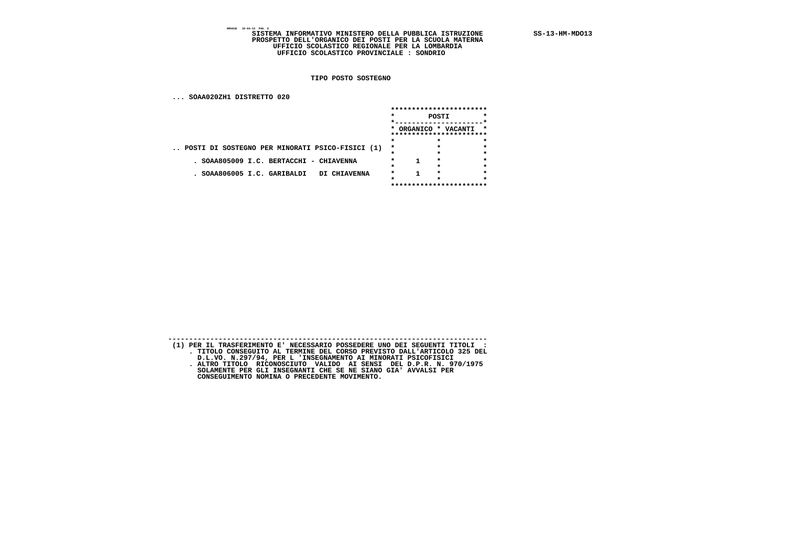SISTEMA INFORMATIVO MINISTERO DELLA PUBBLICA ISTRUZIONE SS-13-HM-MDO13<br>PROSPETTO DELL'ORGANICO DEI POSTI PER LA SCUOLA MATERNA<br>UFFICIO SCOLASTICO REGIONALE PER LA LOMBARDIA<br>UFFICIO SCOLASTICO PROVINCIALE : SONDRIO

 **TIPO POSTO SOSTEGNO**

 **... SOAA020ZH1 DISTRETTO 020**

|                                                 |         | *********************** |                                                 |         |  |  |
|-------------------------------------------------|---------|-------------------------|-------------------------------------------------|---------|--|--|
|                                                 | $\star$ |                         | POSTI                                           |         |  |  |
|                                                 |         |                         | * ORGANICO * VACANTI<br>*********************** | $\star$ |  |  |
|                                                 | $\star$ |                         | ÷                                               |         |  |  |
| POSTI DI SOSTEGNO PER MINORATI PSICO-FISICI (1) | $\star$ |                         | $\star$                                         |         |  |  |
|                                                 | 28      |                         | $\star$                                         |         |  |  |
| SOAA805009 I.C. BERTACCHI<br>- CHIAVENNA        |         |                         | $\star$                                         |         |  |  |
|                                                 |         |                         |                                                 |         |  |  |
| SOAA806005 I.C. GARIBALDI<br>DI CHIAVENNA       |         |                         | $\star$                                         |         |  |  |
|                                                 |         |                         |                                                 |         |  |  |
|                                                 |         |                         | ***********************                         |         |  |  |

| (1) PER IL TRASFERIMENTO E' NECESSARIO POSSEDERE UNO DEI SEGUENTI TITOLI : |
|----------------------------------------------------------------------------|
| . TITOLO CONSEGUITO AL TERMINE DEL CORSO PREVISTO DALL'ARTICOLO 325 DEL    |
| D.L.VO. N.297/94, PER L 'INSEGNAMENTO AI MINORATI PSICOFISICI              |
| ALTRO TITOLO RICONOSCIUTO VALIDO AI SENSI DEL D.P.R. N. 970/1975           |
| SOLAMENTE PER GLI INSEGNANTI CHE SE NE SIANO GIA' AVVALSI PER              |
| CONSEGUIMENTO NOMINA O PRECEDENTE MOVIMENTO.                               |

 **----------------------------------------------------------------------------**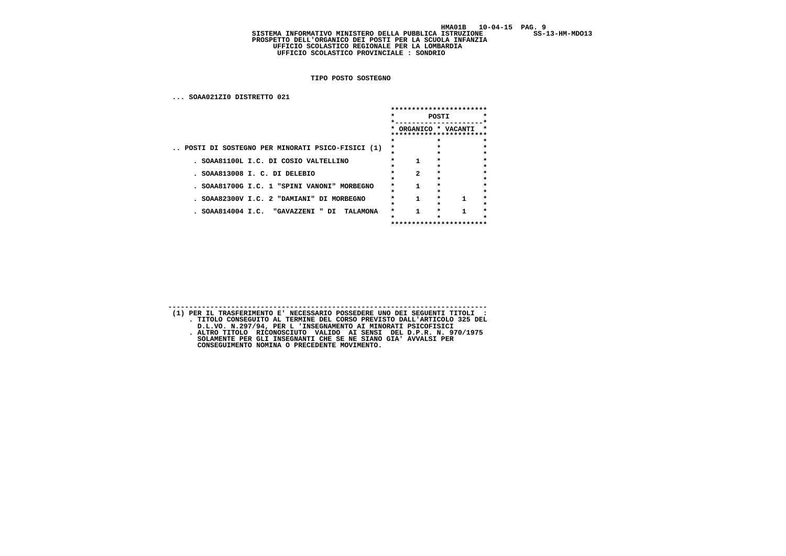$SS-13-HM-MDO13$ 

### SISTEMA INFORMATIVO MINISTERO DELLA PUBBLICA ISTRUZIONE  **PROSPETTO DELL'ORGANICO DEI POSTI PER LA SCUOLA INFANZIA UFFICIO SCOLASTICO REGIONALE PER LA LOMBARDIA UFFICIO SCOLASTICO PROVINCIALE : SONDRIO**

 **TIPO POSTO SOSTEGNO**

| SOAA021ZIO DISTRETTO 021                        |         |                                         |         |          |
|-------------------------------------------------|---------|-----------------------------------------|---------|----------|
|                                                 |         | ***********************                 |         |          |
|                                                 | $\star$ |                                         | POSTI   | *        |
|                                                 |         |                                         |         |          |
|                                                 |         | ORGANICO * VACANTI<br>***************** |         | *<br>*** |
|                                                 |         |                                         | $\star$ | $\star$  |
| POSTI DI SOSTEGNO PER MINORATI PSICO-FISICI (1) | *       |                                         |         |          |
|                                                 | *       |                                         |         | $\star$  |
| . SOAA81100L I.C. DI COSIO VALTELLINO           |         | 1                                       |         |          |
|                                                 |         |                                         | ÷       | $\star$  |
| . SOAA813008 I. C. DI DELEBIO                   |         | $\mathbf{z}$                            | $\star$ | $\star$  |
|                                                 |         |                                         |         | $\star$  |
| . SOAA81700G I.C. 1 "SPINI VANONI" MORBEGNO     | $\star$ | 1                                       | *       |          |
|                                                 |         |                                         |         | $\star$  |
| . SOAA82300V I.C. 2 "DAMIANI" DI MORBEGNO       | *       |                                         | $\star$ | $\star$  |
|                                                 | *       |                                         | *       | $\star$  |
| . SOAA814004 I.C. "GAVAZZENI " DI<br>TALAMONA   | *       |                                         | *       | *        |
|                                                 |         |                                         |         |          |
|                                                 |         | ***********************                 |         |          |

 **---------------------------------------------------------------------------- (1) PER IL TRASFERIMENTO E' NECESSARIO POSSEDERE UNO DEI SEGUENTI TITOLI : . TITOLO CONSEGUITO AL TERMINE DEL CORSO PREVISTO DALL'ARTICOLO 325 DEL D.L.VO. N.297/94, PER L 'INSEGNAMENTO AI MINORATI PSICOFISICI . ALTRO TITOLO RICONOSCIUTO VALIDO AI SENSI DEL D.P.R. N. 970/1975 SOLAMENTE PER GLI INSEGNANTI CHE SE NE SIANO GIA' AVVALSI PER CONSEGUIMENTO NOMINA O PRECEDENTE MOVIMENTO.**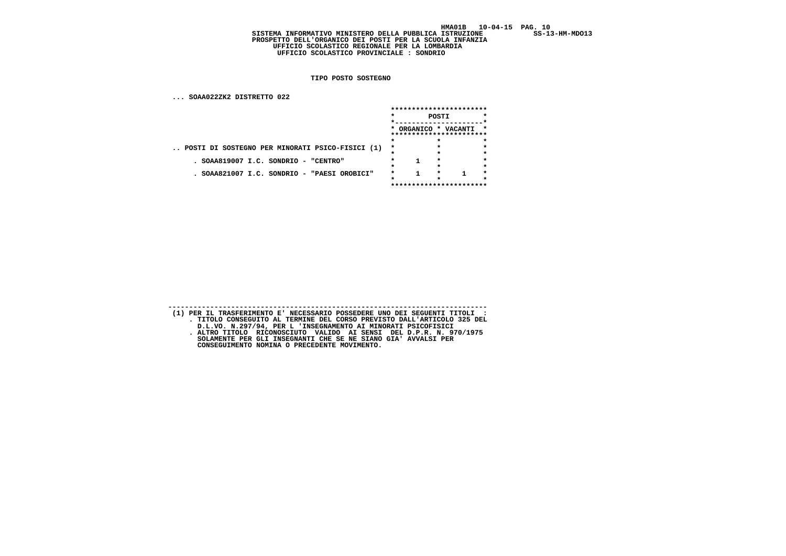$SS-13-HM-MDO13$ 

### SISTEMA INFORMATIVO MINISTERO DELLA PUBBLICA ISTRUZIONE  **PROSPETTO DELL'ORGANICO DEI POSTI PER LA SCUOLA INFANZIA UFFICIO SCOLASTICO REGIONALE PER LA LOMBARDIA UFFICIO SCOLASTICO PROVINCIALE : SONDRIO**

 **TIPO POSTO SOSTEGNO**

 **... SOAA022ZK2 DISTRETTO 022**

|                                                 |       |  |         | ***********************                           |         |
|-------------------------------------------------|-------|--|---------|---------------------------------------------------|---------|
|                                                 | POSTI |  |         |                                                   |         |
|                                                 |       |  |         | * ORGANICO * VACANTI *<br>*********************** |         |
|                                                 |       |  |         |                                                   |         |
| POSTI DI SOSTEGNO PER MINORATI PSICO-FISICI (1) | *     |  |         |                                                   | $\star$ |
|                                                 |       |  | *       |                                                   | $\star$ |
| SOAA819007 I.C. SONDRIO - "CENTRO"              |       |  | $\star$ |                                                   | $\star$ |
|                                                 |       |  |         |                                                   | *       |
| SOAA821007 I.C. SONDRIO - "PAESI OROBICI"       |       |  |         |                                                   | $\star$ |
|                                                 |       |  |         |                                                   |         |
|                                                 |       |  |         | ***********************                           |         |

 **---------------------------------------------------------------------------- (1) PER IL TRASFERIMENTO E' NECESSARIO POSSEDERE UNO DEI SEGUENTI TITOLI : . TITOLO CONSEGUITO AL TERMINE DEL CORSO PREVISTO DALL'ARTICOLO 325 DEL D.L.VO. N.297/94, PER L 'INSEGNAMENTO AI MINORATI PSICOFISICI . ALTRO TITOLO RICONOSCIUTO VALIDO AI SENSI DEL D.P.R. N. 970/1975 SOLAMENTE PER GLI INSEGNANTI CHE SE NE SIANO GIA' AVVALSI PER CONSEGUIMENTO NOMINA O PRECEDENTE MOVIMENTO.**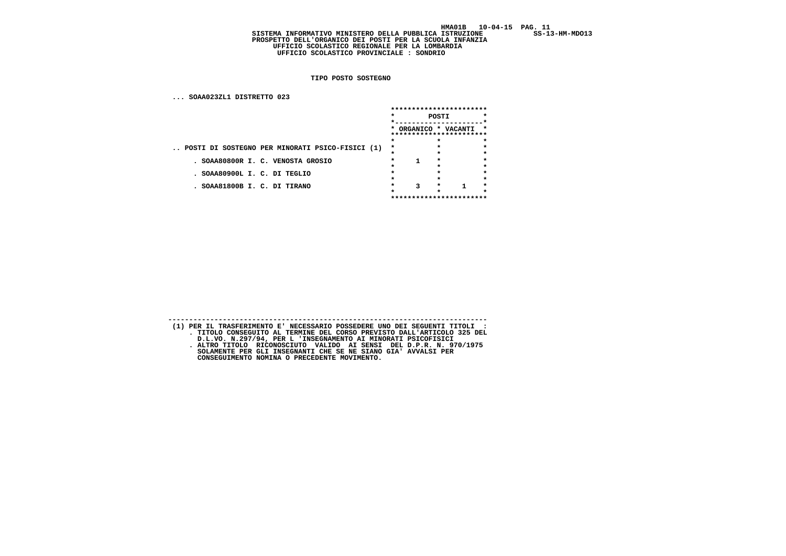$SS-13-HM-MDO13$ 

SISTEMA INFORMATIVO MINISTERO DELLA PUBBLICA ISTRUZIONE  **PROSPETTO DELL'ORGANICO DEI POSTI PER LA SCUOLA INFANZIA UFFICIO SCOLASTICO REGIONALE PER LA LOMBARDIA UFFICIO SCOLASTICO PROVINCIALE : SONDRIO**

 **TIPO POSTO SOSTEGNO**

 **... SOAA023ZL1 DISTRETTO 023**

|                                                 | ***********************<br>$\star$<br>POSTI |   |         |                                                   |         |
|-------------------------------------------------|---------------------------------------------|---|---------|---------------------------------------------------|---------|
|                                                 |                                             |   |         |                                                   | $\star$ |
|                                                 |                                             |   |         | * ORGANICO * VACANTI *<br>*********************** |         |
|                                                 |                                             |   |         |                                                   | $\star$ |
| POSTI DI SOSTEGNO PER MINORATI PSICO-FISICI (1) | $\star$                                     |   |         |                                                   |         |
|                                                 |                                             |   |         |                                                   | $\star$ |
| . SOAA80800R I. C. VENOSTA GROSIO               |                                             |   | $\star$ |                                                   |         |
|                                                 |                                             |   |         |                                                   | $\star$ |
| . SOAA80900L I. C. DI TEGLIO                    |                                             |   |         |                                                   | $\star$ |
| . SOAA81800B I. C. DI TIRANO                    |                                             | 3 | *       |                                                   | ۰       |
|                                                 |                                             |   |         |                                                   |         |
|                                                 |                                             |   |         | ***********************                           |         |

**---------------------------------------------------------------------------- (1) PER IL TRASFERIMENTO E' NECESSARIO POSSEDERE UNO DEI SEGUENTI TITOLI : . TITOLO CONSEGUITO AL TERMINE DEL CORSO PREVISTO DALL'ARTICOLO 325 DEL D.L.VO. N.297/94, PER L 'INSEGNAMENTO AI MINORATI PSICOFISICI . ALTRO TITOLO RICONOSCIUTO VALIDO AI SENSI DEL D.P.R. N. 970/1975 SOLAMENTE PER GLI INSEGNANTI CHE SE NE SIANO GIA' AVVALSI PER CONSEGUIMENTO NOMINA O PRECEDENTE MOVIMENTO.**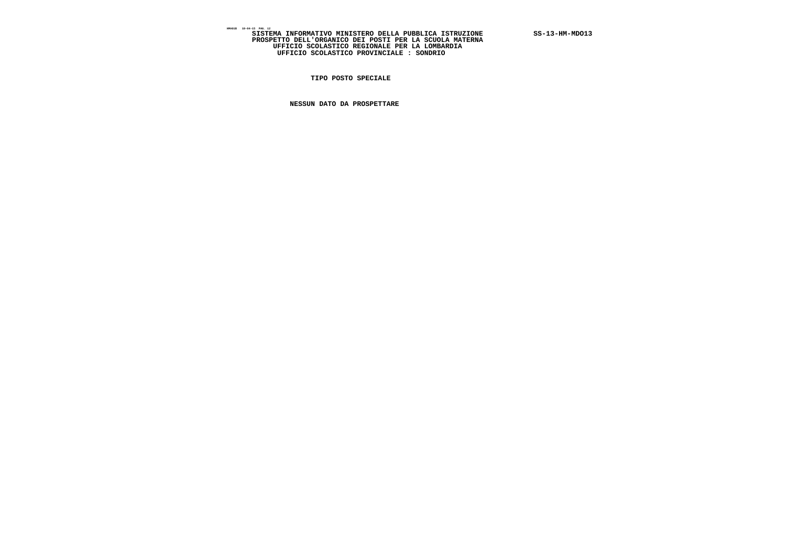SISTEMA INFORMATIVO MINISTERO DELLA PUBBLICA ISTRUZIONE SS-13-HM-MDO13<br>PROSPETTO DELL'ORGANICO DEI POSTI PER LA SCUOLA MATERNA<br>UFFICIO SCOLASTICO REGIONALE PER LA LOMBARDIA<br>UFFICIO SCOLASTICO PROVINCIALE : SONDRIO

 **TIPO POSTO SPECIALE**

 **NESSUN DATO DA PROSPETTARE**